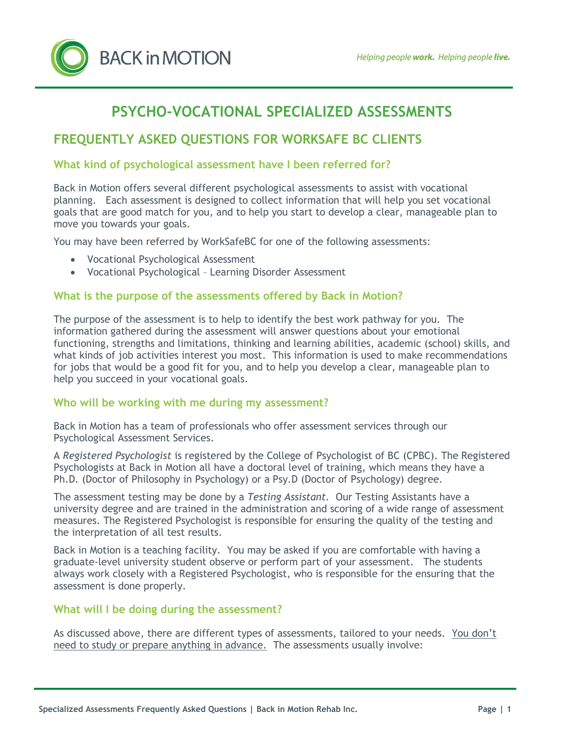

# **PSYCHO-VOCATIONAL SPECIALIZED ASSESSMENTS**

# **FREQUENTLY ASKED QUESTIONS FOR WORKSAFE BC CLIENTS**

# **What kind of psychological assessment have I been referred for?**

Back in Motion offers several different psychological assessments to assist with vocational planning. Each assessment is designed to collect information that will help you set vocational goals that are good match for you, and to help you start to develop a clear, manageable plan to move you towards your goals.

You may have been referred by WorkSafeBC for one of the following assessments:

- Vocational Psychological Assessment
- Vocational Psychological Learning Disorder Assessment

#### **What is the purpose of the assessments offered by Back in Motion?**

The purpose of the assessment is to help to identify the best work pathway for you. The information gathered during the assessment will answer questions about your emotional functioning, strengths and limitations, thinking and learning abilities, academic (school) skills, and what kinds of job activities interest you most. This information is used to make recommendations for jobs that would be a good fit for you, and to help you develop a clear, manageable plan to help you succeed in your vocational goals.

#### **Who will be working with me during my assessment?**

Back in Motion has a team of professionals who offer assessment services through our Psychological Assessment Services.

A *Registered Psychologist* is registered by the College of Psychologist of BC (CPBC). The Registered Psychologist*s* at Back in Motion all have a doctoral level of training, which means they have a Ph.D. (Doctor of Philosophy in Psychology) or a Psy.D (Doctor of Psychology) degree.

The assessment testing may be done by a *Testing Assistant.* Our Testing Assistants have a university degree and are trained in the administration and scoring of a wide range of assessment measures. The Registered Psychologist is responsible for ensuring the quality of the testing and the interpretation of all test results.

Back in Motion is a teaching facility. You may be asked if you are comfortable with having a graduate-level university student observe or perform part of your assessment. The students always work closely with a Registered Psychologist, who is responsible for the ensuring that the assessment is done properly.

### **What will I be doing during the assessment?**

As discussed above, there are different types of assessments, tailored to your needs. You don't need to study or prepare anything in advance. The assessments usually involve: